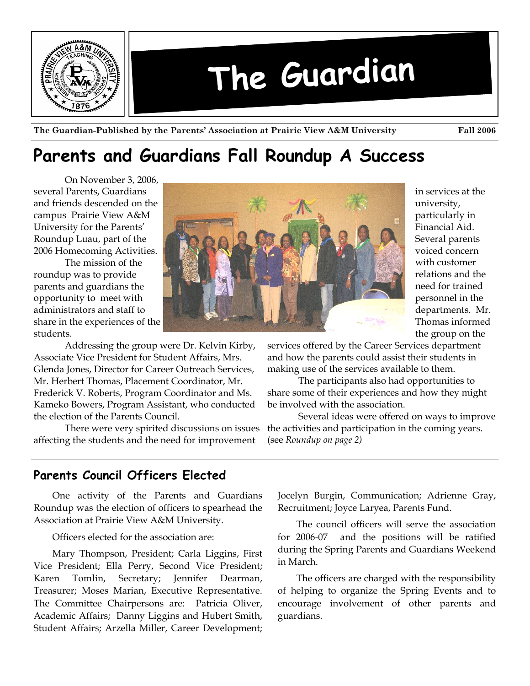

**The Guardian-Published by the Parents' Association at Prairie View A&M University Fall 2006** 

# **Parents and Guardians Fall Roundup A Success**

On November 3, 2006, several Parents, Guardians and friends descended on the campus Prairie View A&M University for the Parents' Roundup Luau, part of the 2006 Homecoming Activities.

 The mission of the roundup was to provide parents and guardians the opportunity to meet with administrators and staff to share in the experiences of the students.

 Addressing the group were Dr. Kelvin Kirby, Associate Vice President for Student Affairs, Mrs. Glenda Jones, Director for Career Outreach Services, Mr. Herbert Thomas, Placement Coordinator, Mr. Frederick V. Roberts, Program Coordinator and Ms. Kameko Bowers, Program Assistant, who conducted the election of the Parents Council.

 There were very spirited discussions on issues affecting the students and the need for improvement



in services at the university, particularly in Financial Aid. Several parents voiced concern with customer relations and the need for trained personnel in the departments. Mr. Thomas informed the group on the

services offered by the Career Services department and how the parents could assist their students in making use of the services available to them.

 The participants also had opportunities to share some of their experiences and how they might be involved with the association.

 Several ideas were offered on ways to improve the activities and participation in the coming years. (see *Roundup on page 2)*

# **Parents Council Officers Elected**

One activity of the Parents and Guardians Roundup was the election of officers to spearhead the Association at Prairie View A&M University.

Officers elected for the association are:

Mary Thompson, President; Carla Liggins, First Vice President; Ella Perry, Second Vice President; Karen Tomlin, Secretary; Jennifer Dearman, Treasurer; Moses Marian, Executive Representative. The Committee Chairpersons are: Patricia Oliver, Academic Affairs; Danny Liggins and Hubert Smith, Student Affairs; Arzella Miller, Career Development;

Jocelyn Burgin, Communication; Adrienne Gray, Recruitment; Joyce Laryea, Parents Fund.

The council officers will serve the association for 2006-07 and the positions will be ratified during the Spring Parents and Guardians Weekend in March.

The officers are charged with the responsibility of helping to organize the Spring Events and to encourage involvement of other parents and guardians.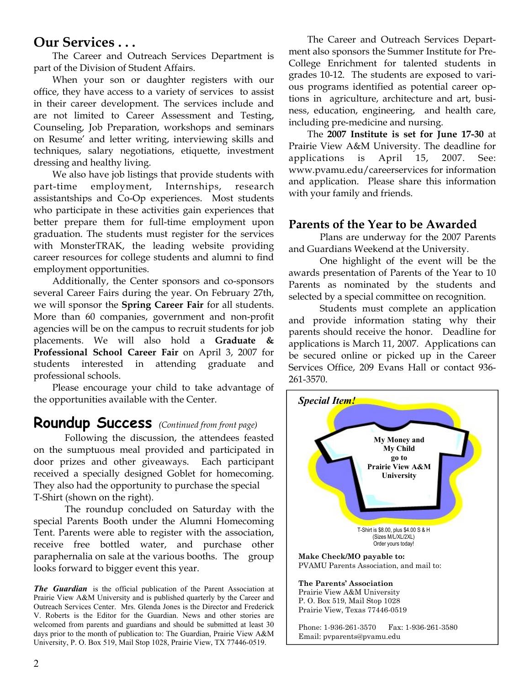## **Our Services . . .**

The Career and Outreach Services Department is part of the Division of Student Affairs.

When your son or daughter registers with our office, they have access to a variety of services to assist in their career development. The services include and are not limited to Career Assessment and Testing, Counseling, Job Preparation, workshops and seminars on Resume' and letter writing, interviewing skills and techniques, salary negotiations, etiquette, investment dressing and healthy living.

We also have job listings that provide students with part-time employment, Internships, research assistantships and Co-Op experiences. Most students who participate in these activities gain experiences that better prepare them for full-time employment upon graduation. The students must register for the services with MonsterTRAK, the leading website providing career resources for college students and alumni to find employment opportunities.

Additionally, the Center sponsors and co-sponsors several Career Fairs during the year. On February 27th, we will sponsor the **Spring Career Fair** for all students. More than 60 companies, government and non-profit agencies will be on the campus to recruit students for job placements. We will also hold a **Graduate & Professional School Career Fair** on April 3, 2007 for students interested in attending graduate and professional schools.

Please encourage your child to take advantage of the opportunities available with the Center.

# **Roundup Success** *(Continued from front page)*

 Following the discussion, the attendees feasted on the sumptuous meal provided and participated in door prizes and other giveaways. Each participant received a specially designed Goblet for homecoming. They also had the opportunity to purchase the special T-Shirt (shown on the right).

 The roundup concluded on Saturday with the special Parents Booth under the Alumni Homecoming Tent. Parents were able to register with the association, receive free bottled water, and purchase other paraphernalia on sale at the various booths. The group looks forward to bigger event this year.

*The Guardian* is the official publication of the Parent Association at Prairie View A&M University and is published quarterly by the Career and Outreach Services Center. Mrs. Glenda Jones is the Director and Frederick V. Roberts is the Editor for the Guardian. News and other stories are welcomed from parents and guardians and should be submitted at least 30 days prior to the month of publication to: The Guardian, Prairie View A&M University, P. O. Box 519, Mail Stop 1028, Prairie View, TX 77446-0519.

The Career and Outreach Services Department also sponsors the Summer Institute for Pre-College Enrichment for talented students in grades 10-12. The students are exposed to various programs identified as potential career options in agriculture, architecture and art, business, education, engineering, and health care, including pre-medicine and nursing.

The **2007 Institute is set for June 17-30** at Prairie View A&M University. The deadline for applications is April 15, 2007. See: www.pvamu.edu/careerservices for information and application. Please share this information with your family and friends.

### **Parents of the Year to be Awarded**

Plans are underway for the 2007 Parents and Guardians Weekend at the University.

 One highlight of the event will be the awards presentation of Parents of the Year to 10 Parents as nominated by the students and selected by a special committee on recognition.

 Students must complete an application and provide information stating why their parents should receive the honor. Deadline for applications is March 11, 2007. Applications can be secured online or picked up in the Career Services Office, 209 Evans Hall or contact 936- 261-3570.

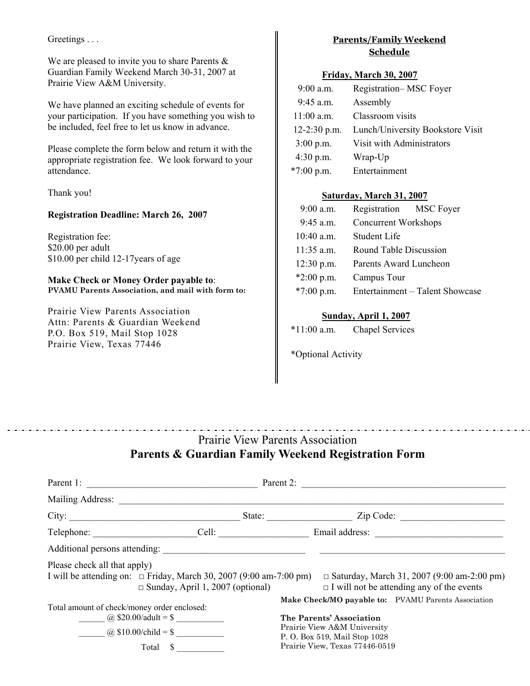Greetings . . .

We are pleased to invite you to share Parents & Guardian Family Weekend March 30-31, 2007 at Prairie View A&M University.

We have planned an exciting schedule of events for your participation. If you have something you wish to be included, feel free to let us know in advance.

Please complete the form below and return it with the appropriate registration fee. We look forward to your attendance.

Thank you!

#### **Registration Deadline: March 26, 2007**

Registration fee: \$20.00 per adult \$10.00 per child 12-17years of age

**Make Check or Money Order payable to**: **PVAMU Parents Association, and mail with form to:**

Prairie View Parents Association Attn: Parents & Guardian Weekend P.O. Box 519, Mail Stop 1028 Prairie View, Texas 77446

### **Parents/Family Weekend Schedule**

#### **Friday, March 30, 2007**

| $9:00$ a.m.      | Registration-MSC Foyer           |
|------------------|----------------------------------|
| $9:45$ a.m.      | Assembly                         |
| $11:00$ a.m.     | Classroom visits                 |
| $12 - 2:30$ p.m. | Lunch/University Bookstore Visit |
| $3:00$ p.m.      | Visit with Administrators        |
| $4:30$ p.m.      | Wrap-Up                          |
| $*7:00$ p.m.     | Entertainment                    |

### **Saturday, March 31, 2007**

| $9:00$ a.m.  | Registration MSC Foyer          |  |
|--------------|---------------------------------|--|
| $9:45$ a.m.  | Concurrent Workshops            |  |
| $10:40$ a.m. | <b>Student Life</b>             |  |
| $11:35$ a.m. | Round Table Discussion          |  |
| $12:30$ p.m. | Parents Award Luncheon          |  |
| $*2:00$ p.m. | Campus Tour                     |  |
| $*7:00$ p.m. | Entertainment - Talent Showcase |  |

#### **Sunday, April 1, 2007**

| $*11:00$ a.m. | <b>Chapel Services</b> |
|---------------|------------------------|
|---------------|------------------------|

\*Optional Activity

# Prairie View Parents Association **Parents & Guardian Family Weekend Registration Form**

|                                                 | Parent 1: $\qquad \qquad$                                                                                          | Parent 2: $\qquad \qquad \qquad$                                                         |                                                                                                  |  |
|-------------------------------------------------|--------------------------------------------------------------------------------------------------------------------|------------------------------------------------------------------------------------------|--------------------------------------------------------------------------------------------------|--|
| Mailing Address:                                |                                                                                                                    |                                                                                          |                                                                                                  |  |
| City:                                           |                                                                                                                    | State:                                                                                   | $\mathsf{Zip Code:}$                                                                             |  |
|                                                 |                                                                                                                    |                                                                                          | Telephone: Cell: Cell: Email address:                                                            |  |
|                                                 | Additional persons attending:                                                                                      |                                                                                          |                                                                                                  |  |
| Please check all that apply)                    | I will be attending on: $\Box$ Friday, March 30, 2007 (9:00 am-7:00 pm)<br>$\Box$ Sunday, April 1, 2007 (optional) |                                                                                          | □ Saturday, March 31, 2007 (9:00 am-2:00 pm)<br>$\Box$ I will not be attending any of the events |  |
| Total amount of check/money order enclosed:     |                                                                                                                    |                                                                                          | Make Check/MO payable to: PVAMU Parents Association                                              |  |
| @ \$20.00/adult = \$<br>(a) $$10.00/cchild = $$ |                                                                                                                    | The Parents' Association<br>Prairie View A&M University<br>P. O. Box 519, Mail Stop 1028 |                                                                                                  |  |
| Total<br><b>S</b>                               |                                                                                                                    | Prairie View, Texas 77446-0519                                                           |                                                                                                  |  |